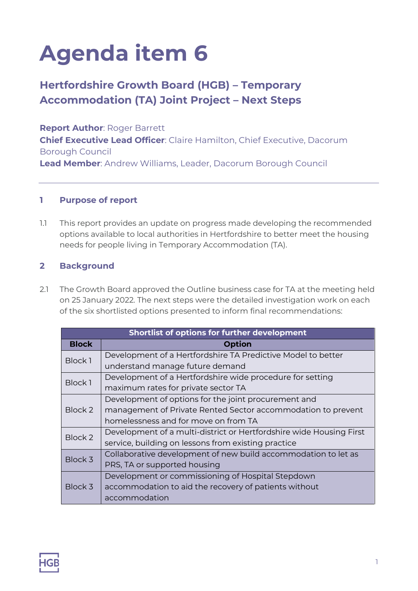# **Agenda item 6**

## **Hertfordshire Growth Board (HGB) – Temporary Accommodation (TA) Joint Project – Next Steps**

**Report Author**: Roger Barrett

**Chief Executive Lead Officer**: Claire Hamilton, Chief Executive, Dacorum Borough Council

**Lead Member**: Andrew Williams, Leader, Dacorum Borough Council

### **1 Purpose of report**

1.1 This report provides an update on progress made developing the recommended options available to local authorities in Hertfordshire to better meet the housing needs for people living in Temporary Accommodation (TA).

#### **2 Background**

2.1 The Growth Board approved the Outline business case for TA at the meeting held on 25 January 2022. The next steps were the detailed investigation work on each of the six shortlisted options presented to inform final recommendations:

| Shortlist of options for further development |                                                                     |  |  |  |  |  |  |  |  |  |  |
|----------------------------------------------|---------------------------------------------------------------------|--|--|--|--|--|--|--|--|--|--|
| <b>Block</b>                                 | <b>Option</b>                                                       |  |  |  |  |  |  |  |  |  |  |
| Block 1                                      | Development of a Hertfordshire TA Predictive Model to better        |  |  |  |  |  |  |  |  |  |  |
|                                              | understand manage future demand                                     |  |  |  |  |  |  |  |  |  |  |
| Block 1                                      | Development of a Hertfordshire wide procedure for setting           |  |  |  |  |  |  |  |  |  |  |
|                                              | maximum rates for private sector TA                                 |  |  |  |  |  |  |  |  |  |  |
| Block 2                                      | Development of options for the joint procurement and                |  |  |  |  |  |  |  |  |  |  |
|                                              | management of Private Rented Sector accommodation to prevent        |  |  |  |  |  |  |  |  |  |  |
|                                              | homelessness and for move on from TA                                |  |  |  |  |  |  |  |  |  |  |
| Block 2                                      | Development of a multi-district or Hertfordshire wide Housing First |  |  |  |  |  |  |  |  |  |  |
|                                              | service, building on lessons from existing practice                 |  |  |  |  |  |  |  |  |  |  |
| Block 3                                      | Collaborative development of new build accommodation to let as      |  |  |  |  |  |  |  |  |  |  |
|                                              | PRS, TA or supported housing                                        |  |  |  |  |  |  |  |  |  |  |
| Block 3                                      | Development or commissioning of Hospital Stepdown                   |  |  |  |  |  |  |  |  |  |  |
|                                              | accommodation to aid the recovery of patients without               |  |  |  |  |  |  |  |  |  |  |
|                                              | accommodation                                                       |  |  |  |  |  |  |  |  |  |  |

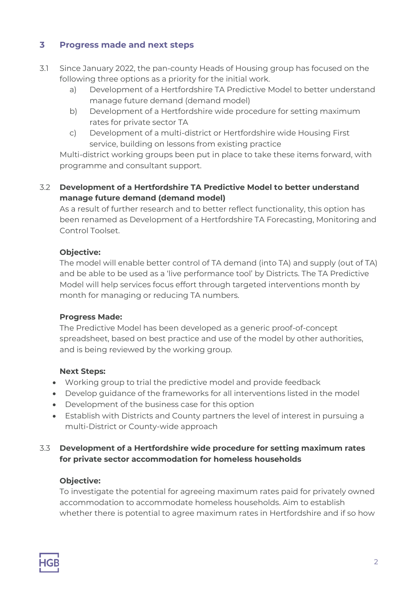### **3 Progress made and next steps**

- 3.1 Since January 2022, the pan-county Heads of Housing group has focused on the following three options as a priority for the initial work.
	- a) Development of a Hertfordshire TA Predictive Model to better understand manage future demand (demand model)
	- b) Development of a Hertfordshire wide procedure for setting maximum rates for private sector TA
	- c) Development of a multi-district or Hertfordshire wide Housing First service, building on lessons from existing practice

Multi-district working groups been put in place to take these items forward, with programme and consultant support.

#### 3.2 **Development of a Hertfordshire TA Predictive Model to better understand manage future demand (demand model)**

As a result of further research and to better reflect functionality, this option has been renamed as Development of a Hertfordshire TA Forecasting, Monitoring and Control Toolset.

#### **Objective:**

The model will enable better control of TA demand (into TA) and supply (out of TA) and be able to be used as a 'live performance tool' by Districts. The TA Predictive Model will help services focus effort through targeted interventions month by month for managing or reducing TA numbers.

#### **Progress Made:**

The Predictive Model has been developed as a generic proof-of-concept spreadsheet, based on best practice and use of the model by other authorities, and is being reviewed by the working group.

#### **Next Steps:**

- Working group to trial the predictive model and provide feedback
- Develop guidance of the frameworks for all interventions listed in the model
- Development of the business case for this option
- Establish with Districts and County partners the level of interest in pursuing a multi-District or County-wide approach

#### 3.3 **Development of a Hertfordshire wide procedure for setting maximum rates for private sector accommodation for homeless households**

#### **Objective:**

To investigate the potential for agreeing maximum rates paid for privately owned accommodation to accommodate homeless households. Aim to establish whether there is potential to agree maximum rates in Hertfordshire and if so how

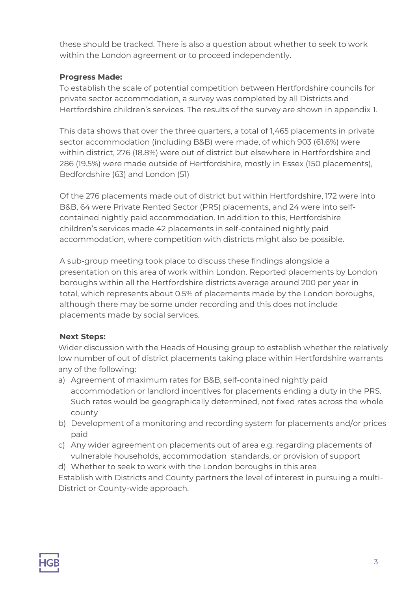these should be tracked. There is also a question about whether to seek to work within the London agreement or to proceed independently.

#### **Progress Made:**

To establish the scale of potential competition between Hertfordshire councils for private sector accommodation, a survey was completed by all Districts and Hertfordshire children's services. The results of the survey are shown in appendix 1.

This data shows that over the three quarters, a total of 1,465 placements in private sector accommodation (including B&B) were made, of which 903 (61.6%) were within district, 276 (18.8%) were out of district but elsewhere in Hertfordshire and 286 (19.5%) were made outside of Hertfordshire, mostly in Essex (150 placements), Bedfordshire (63) and London (51)

Of the 276 placements made out of district but within Hertfordshire, 172 were into B&B, 64 were Private Rented Sector (PRS) placements, and 24 were into selfcontained nightly paid accommodation. In addition to this, Hertfordshire children's services made 42 placements in self-contained nightly paid accommodation, where competition with districts might also be possible.

A sub-group meeting took place to discuss these findings alongside a presentation on this area of work within London. Reported placements by London boroughs within all the Hertfordshire districts average around 200 per year in total, which represents about 0.5% of placements made by the London boroughs, although there may be some under recording and this does not include placements made by social services.

#### **Next Steps:**

Wider discussion with the Heads of Housing group to establish whether the relatively low number of out of district placements taking place within Hertfordshire warrants any of the following:

- a) Agreement of maximum rates for B&B, self-contained nightly paid accommodation or landlord incentives for placements ending a duty in the PRS. Such rates would be geographically determined, not fixed rates across the whole county
- b) Development of a monitoring and recording system for placements and/or prices paid
- c) Any wider agreement on placements out of area e.g. regarding placements of vulnerable households, accommodation standards, or provision of support
- d) Whether to seek to work with the London boroughs in this area

Establish with Districts and County partners the level of interest in pursuing a multi-District or County-wide approach.

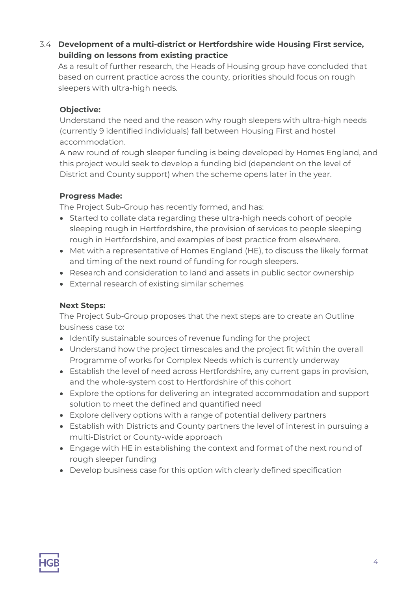### 3.4 **Development of a multi-district or Hertfordshire wide Housing First service, building on lessons from existing practice**

As a result of further research, the Heads of Housing group have concluded that based on current practice across the county, priorities should focus on rough sleepers with ultra-high needs.

#### **Objective:**

Understand the need and the reason why rough sleepers with ultra-high needs (currently 9 identified individuals) fall between Housing First and hostel accommodation.

A new round of rough sleeper funding is being developed by Homes England, and this project would seek to develop a funding bid (dependent on the level of District and County support) when the scheme opens later in the year.

#### **Progress Made:**

The Project Sub-Group has recently formed, and has:

- Started to collate data regarding these ultra-high needs cohort of people sleeping rough in Hertfordshire, the provision of services to people sleeping rough in Hertfordshire, and examples of best practice from elsewhere.
- Met with a representative of Homes England (HE), to discuss the likely format and timing of the next round of funding for rough sleepers.
- Research and consideration to land and assets in public sector ownership
- External research of existing similar schemes

### **Next Steps:**

The Project Sub-Group proposes that the next steps are to create an Outline business case to:

- Identify sustainable sources of revenue funding for the project
- Understand how the project timescales and the project fit within the overall Programme of works for Complex Needs which is currently underway
- Establish the level of need across Hertfordshire, any current gaps in provision, and the whole-system cost to Hertfordshire of this cohort
- Explore the options for delivering an integrated accommodation and support solution to meet the defined and quantified need
- Explore delivery options with a range of potential delivery partners
- Establish with Districts and County partners the level of interest in pursuing a multi-District or County-wide approach
- Engage with HE in establishing the context and format of the next round of rough sleeper funding
- Develop business case for this option with clearly defined specification

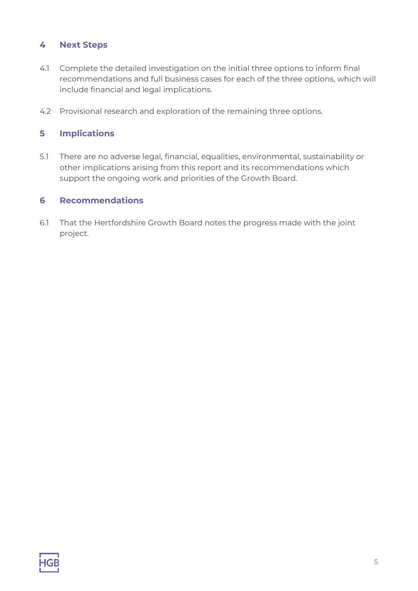#### **4 Next Steps**

- 4.1 Complete the detailed investigation on the initial three options to inform final recommendations and full business cases for each of the three options, which will include financial and legal implications.
- 4.2 Provisional research and exploration of the remaining three options.

#### **5 Implications**

5.1 There are no adverse legal, financial, equalities, environmental, sustainability or other implications arising from this report and its recommendations which support the ongoing work and priorities of the Growth Board.

#### **6 Recommendations**

6.1 That the Hertfordshire Growth Board notes the progress made with the joint project.

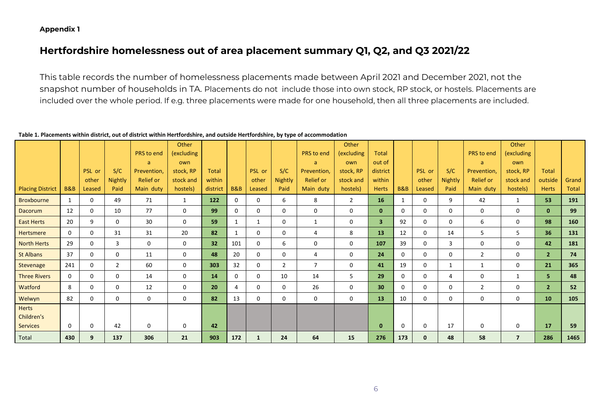#### **Appendix 1**

## **Hertfordshire homelessness out of area placement summary Q1, Q2, and Q3 2021/22**

This table records the number of homelessness placements made between April 2021 and December 2021, not the snapshot number of households in TA. Placements do not include those into own stock, RP stock, or hostels. Placements are included over the whole period. If e.g. three placements were made for one household, then all three placements are included.

#### **Table 1. Placements within district, out of district within Hertfordshire, and outside Hertfordshire, by type of accommodation**

|                         |                |          |                |                  | Other       |                 |                |              |                |                  | Other      |                 |                |              |              |                  | Other          |                |       |
|-------------------------|----------------|----------|----------------|------------------|-------------|-----------------|----------------|--------------|----------------|------------------|------------|-----------------|----------------|--------------|--------------|------------------|----------------|----------------|-------|
|                         |                |          |                | PRS to end       | (excluding  |                 |                |              |                | PRS to end       | (excluding | <b>Total</b>    |                |              |              | PRS to end       | (excluding     |                |       |
|                         |                |          |                | a.               | own         |                 |                |              |                | a                | own        | out of          |                |              |              | a                | own            |                |       |
|                         |                | PSL or   | S/C            | Prevention,      | stock, RP   | <b>Total</b>    |                | PSL or       | S/C            | Prevention,      | stock, RP  | district        |                | PSL or       | S/C          | Prevention,      | stock, RP      | <b>Total</b>   |       |
|                         |                | other    | <b>Nightly</b> | <b>Relief or</b> | stock and   | within          |                | other        | <b>Nightly</b> | <b>Relief or</b> | stock and  | within          |                | other        | Nightly      | <b>Relief or</b> | stock and      | outside        | Grand |
| <b>Placing District</b> | <b>B&amp;B</b> | Leased   | Paid           | Main duty        | hostels)    | district        | <b>B&amp;B</b> | Leased       | Paid           | Main duty        | hostels)   | <b>Herts</b>    | <b>B&amp;B</b> | Leased       | Paid         | Main duty        | hostels)       | <b>Herts</b>   | Total |
| <b>Broxbourne</b>       | $\mathbf{1}$   | 0        | 49             | 71               | 1           | 122             | 0              | 0            | 6              | 8                | 2          | 16              |                | $\Omega$     | 9            | 42               | 1              | 53             | 191   |
| <b>Dacorum</b>          | 12             | 0        | 10             | 77               | 0           | 99              | 0              | 0            | 0              | 0                | 0          | $\mathbf{0}$    | $\Omega$       | $\Omega$     | $\mathbf{0}$ | 0                | 0              | $\mathbf{0}$   | 99    |
| <b>East Herts</b>       | 20             | 9        | $\Omega$       | 30               | $\mathbf 0$ | 59              | 1              | $\mathbf{1}$ | $\Omega$       | 1                | 0          | 3 <sup>1</sup>  | 92             | $\Omega$     | $\Omega$     | 6                | $\mathbf 0$    | 98             | 160   |
| <b>Hertsmere</b>        | $\Omega$       | 0        | 31             | 31               | 20          | 82              | 1              | 0            | $\mathbf 0$    | 4                | 8          | 13 <sup>°</sup> | 12             | $\Omega$     | 14           | 5                | 5              | 36             | 131   |
| <b>North Herts</b>      | 29             | 0        | 3              | 0                | $\mathbf 0$ | 32 <sub>2</sub> | 101            | 0            | 6              | 0                | 0          | 107             | 39             | 0            | 3            | 0                | $\mathbf 0$    | 42             | 181   |
| St Albans               | 37             | 0        | $\Omega$       | 11               | 0           | 48              | 20             | 0            | $\Omega$       | 4                | 0          | 24              | $\Omega$       | $\Omega$     | $\mathbf 0$  | 2                | $\mathbf 0$    | 2 <sup>1</sup> | 74    |
| Stevenage               | 241            | 0        | 2              | 60               | 0           | 303             | 32             | 0            | $\overline{2}$ | $\overline{7}$   | 0          | 41              | 19             | $\mathbf 0$  | $\mathbf{1}$ | 1                | $\mathbf 0$    | 21             | 365   |
| <b>Three Rivers</b>     | $\Omega$       | 0        | $\Omega$       | 14               | $\mathbf 0$ | 14              | $\Omega$       | 0            | 10             | 14               | 5          | 29              | $\mathbf 0$    | $\Omega$     | 4            | 0                | $\mathbf{1}$   | 5              | 48    |
| Watford                 | 8              | $\Omega$ | $\Omega$       | 12               | $\mathbf 0$ | 20              | 4              | 0            | $\Omega$       | 26               | 0          | 30 <sup>°</sup> | $\Omega$       | $\Omega$     | $\Omega$     | $\overline{2}$   | 0              | 2 <sup>1</sup> | 52    |
| Welwyn                  | 82             | $\Omega$ | $\Omega$       | $\Omega$         | $\mathbf 0$ | 82              | 13             | 0            | 0              | 0                | 0          | 13 <sup>°</sup> | 10             | $\Omega$     | 0            | 0                | 0              | 10             | 105   |
| <b>Herts</b>            |                |          |                |                  |             |                 |                |              |                |                  |            |                 |                |              |              |                  |                |                |       |
| Children's              |                |          |                |                  |             |                 |                |              |                |                  |            |                 |                |              |              |                  |                |                |       |
| <b>Services</b>         | $\Omega$       | 0        | 42             | 0                | 0           | 42              |                |              |                |                  |            | $\mathbf{0}$    | $\Omega$       | $\Omega$     | 17           | 0                | 0              | 17             | 59    |
| Total                   | 430            | 9        | 137            | 306              | 21          | 903             | 172            | 1            | 24             | 64               | 15         | 276             | 173            | $\mathbf{0}$ | 48           | 58               | $\overline{7}$ | 286            | 1465  |